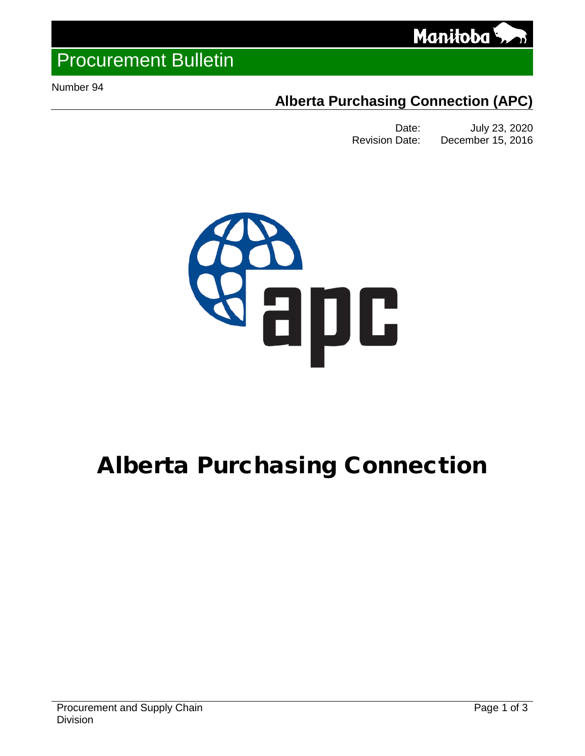

# Procurement Bulletin

<span id="page-0-0"></span>Number 94

## **Alberta Purchasing Connection (APC)**

Date: July 23, 2020 Revision Date: December 15, 2016



# Alberta Purchasing Connection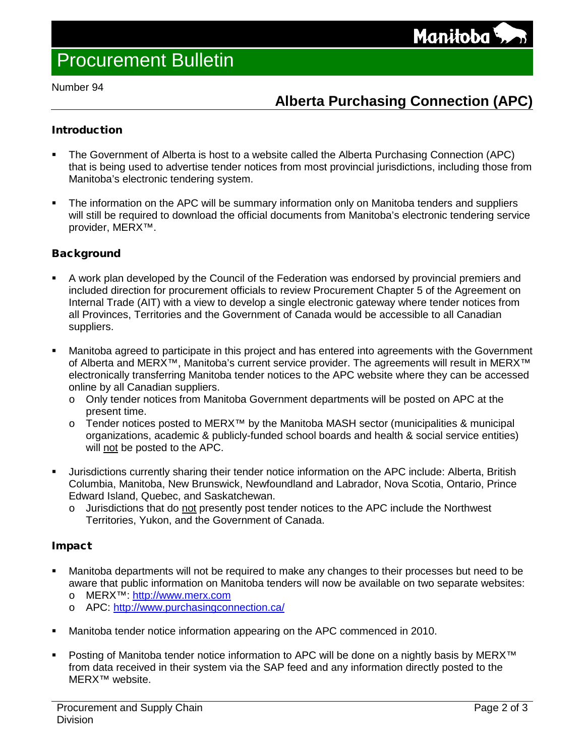Number 94

## **Alberta Purchasing Connection (APC)**

#### **Introduction**

- The Government of Alberta is host to a website called the Alberta Purchasing Connection (APC) that is being used to advertise tender notices from most provincial jurisdictions, including those from Manitoba's electronic tendering system.
- The information on the APC will be summary information only on Manitoba tenders and suppliers will still be required to download the official documents from Manitoba's electronic tendering service provider, MERX™.

#### **Background**

- A work plan developed by the Council of the Federation was endorsed by provincial premiers and included direction for procurement officials to review Procurement Chapter 5 of the Agreement on Internal Trade (AIT) with a view to develop a single electronic gateway where tender notices from all Provinces, Territories and the Government of Canada would be accessible to all Canadian suppliers.
- Manitoba agreed to participate in this project and has entered into agreements with the Government of Alberta and MERX™, Manitoba's current service provider. The agreements will result in MERX™ electronically transferring Manitoba tender notices to the APC website where they can be accessed online by all Canadian suppliers.
	- o Only tender notices from Manitoba Government departments will be posted on APC at the present time.
	- o Tender notices posted to MERX™ by the Manitoba MASH sector (municipalities & municipal organizations, academic & publicly-funded school boards and health & social service entities) will not be posted to the APC.
- Jurisdictions currently sharing their tender notice information on the APC include: Alberta, British Columbia, Manitoba, New Brunswick, Newfoundland and Labrador, Nova Scotia, Ontario, Prince Edward Island, Quebec, and Saskatchewan.
	- o Jurisdictions that do not presently post tender notices to the APC include the Northwest Territories, Yukon, and the Government of Canada.

#### Impact

- Manitoba departments will not be required to make any changes to their processes but need to be aware that public information on Manitoba tenders will now be available on two separate websites: o MERX™: [http://www.merx.com](http://www.merx.com/)
	- o APC:<http://www.purchasingconnection.ca/>
- Manitoba tender notice information appearing on the APC commenced in 2010.
- Posting of Manitoba tender notice information to APC will be done on a nightly basis by MERX™ from data received in their system via the SAP feed and any information directly posted to the MERX™ website.